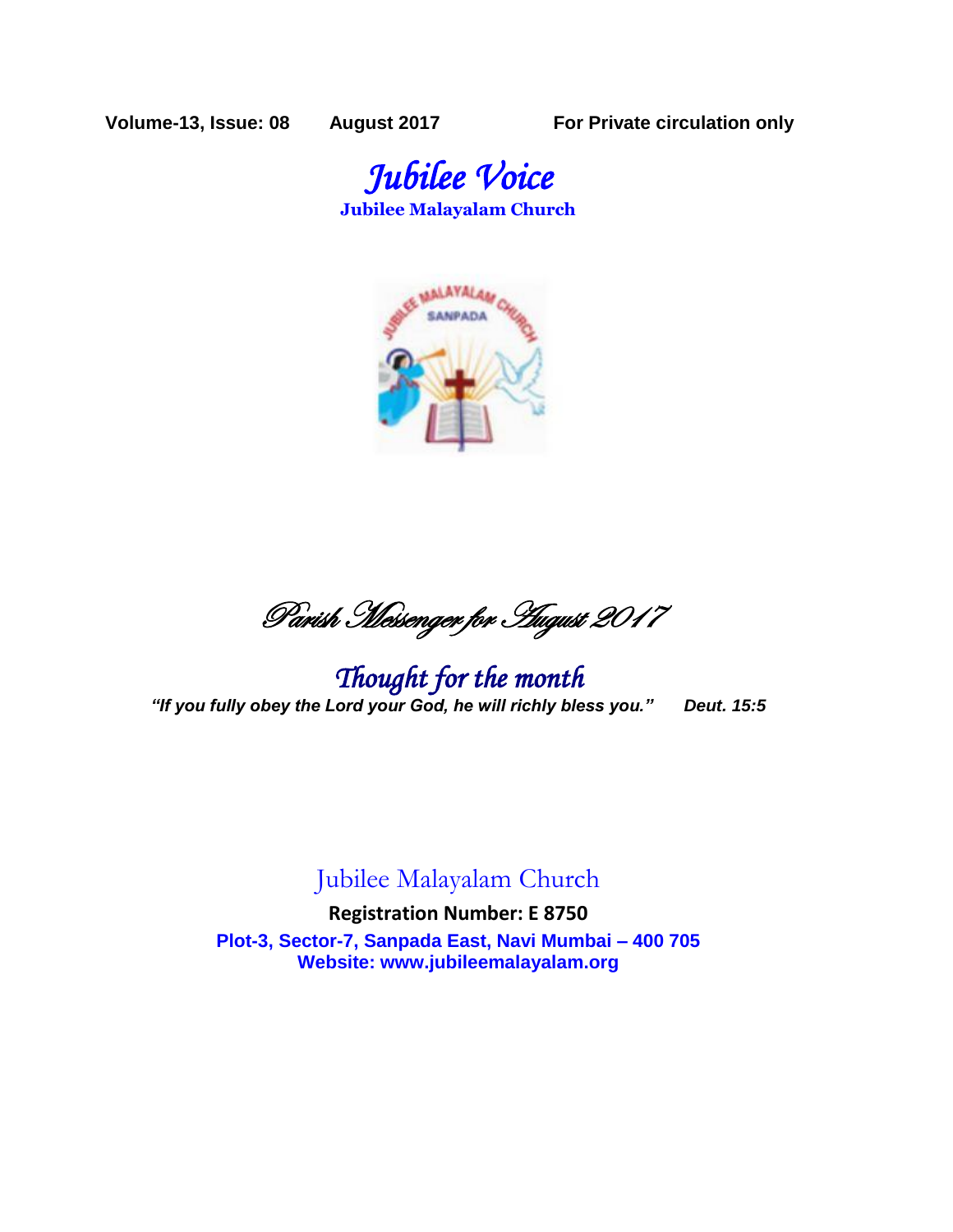**Volume-13, Issue: 08 August 2017 For Private circulation only**





Parish Messenger for August 2017

*Thought for the month "If you fully obey the Lord your God, he will richly bless you." Deut. 15:5*

## Jubilee Malayalam Church

**Registration Number: E 8750 Plot-3, Sector-7, Sanpada East, Navi Mumbai – 400 705 Website: www.jubileemalayalam.org**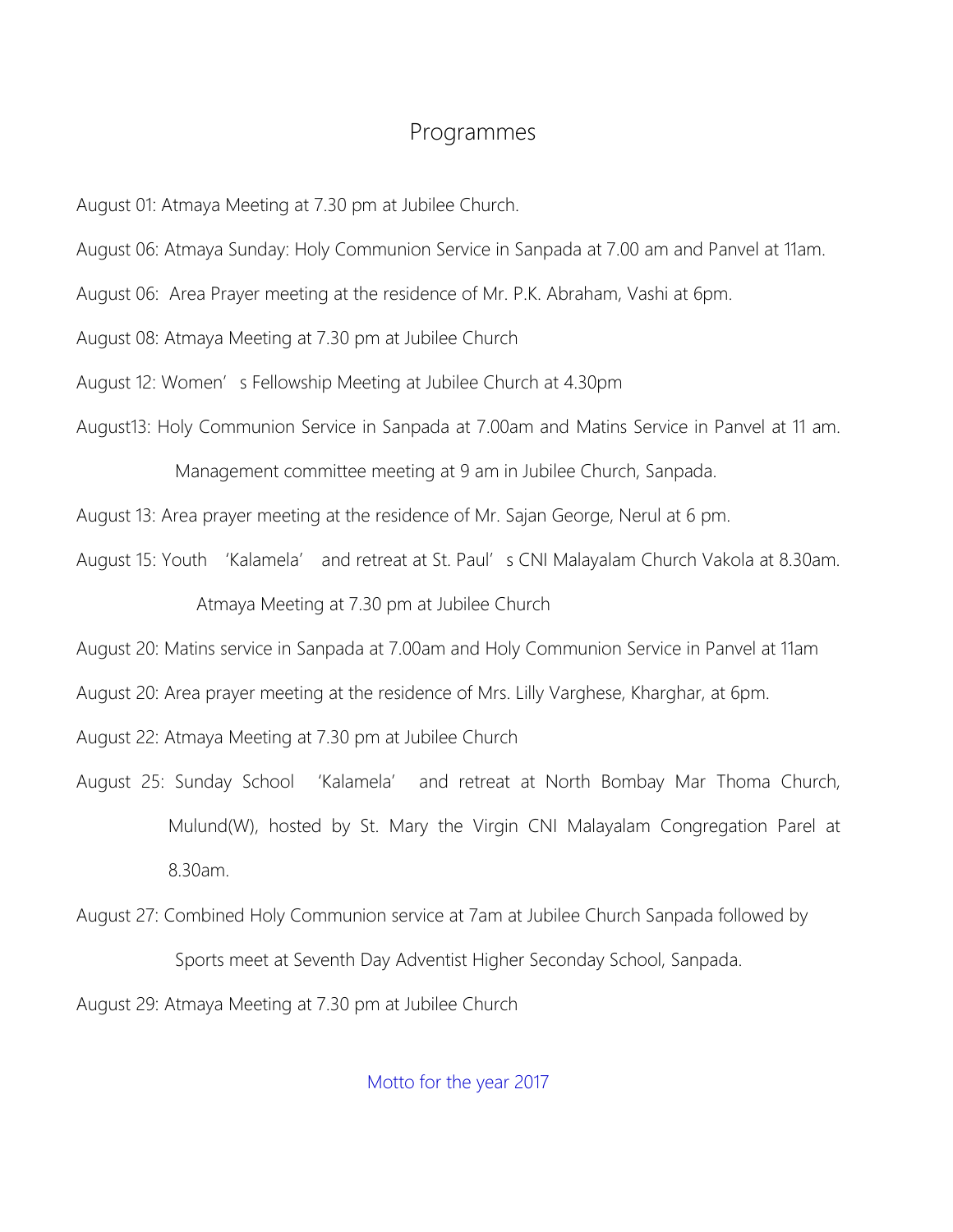## Programmes

August 01: Atmaya Meeting at 7.30 pm at Jubilee Church.

August 06: Atmaya Sunday: Holy Communion Service in Sanpada at 7.00 am and Panvel at 11am.

August 06: Area Prayer meeting at the residence of Mr. P.K. Abraham, Vashi at 6pm.

August 08: Atmaya Meeting at 7.30 pm at Jubilee Church

August 12: Women's Fellowship Meeting at Jubilee Church at 4.30pm

August13: Holy Communion Service in Sanpada at 7.00am and Matins Service in Panvel at 11 am.

Management committee meeting at 9 am in Jubilee Church, Sanpada.

August 13: Area prayer meeting at the residence of Mr. Sajan George, Nerul at 6 pm.

August 15: Youth 'Kalamela' and retreat at St. Paul's CNI Malayalam Church Vakola at 8.30am.

Atmaya Meeting at 7.30 pm at Jubilee Church

August 20: Matins service in Sanpada at 7.00am and Holy Communion Service in Panvel at 11am

August 20: Area prayer meeting at the residence of Mrs. Lilly Varghese, Kharghar, at 6pm.

August 22: Atmaya Meeting at 7.30 pm at Jubilee Church

- August 25: Sunday School 'Kalamela' and retreat at North Bombay Mar Thoma Church, Mulund(W), hosted by St. Mary the Virgin CNI Malayalam Congregation Parel at 8.30am.
- August 27: Combined Holy Communion service at 7am at Jubilee Church Sanpada followed by Sports meet at Seventh Day Adventist Higher Seconday School, Sanpada.

August 29: Atmaya Meeting at 7.30 pm at Jubilee Church

Motto for the year 2017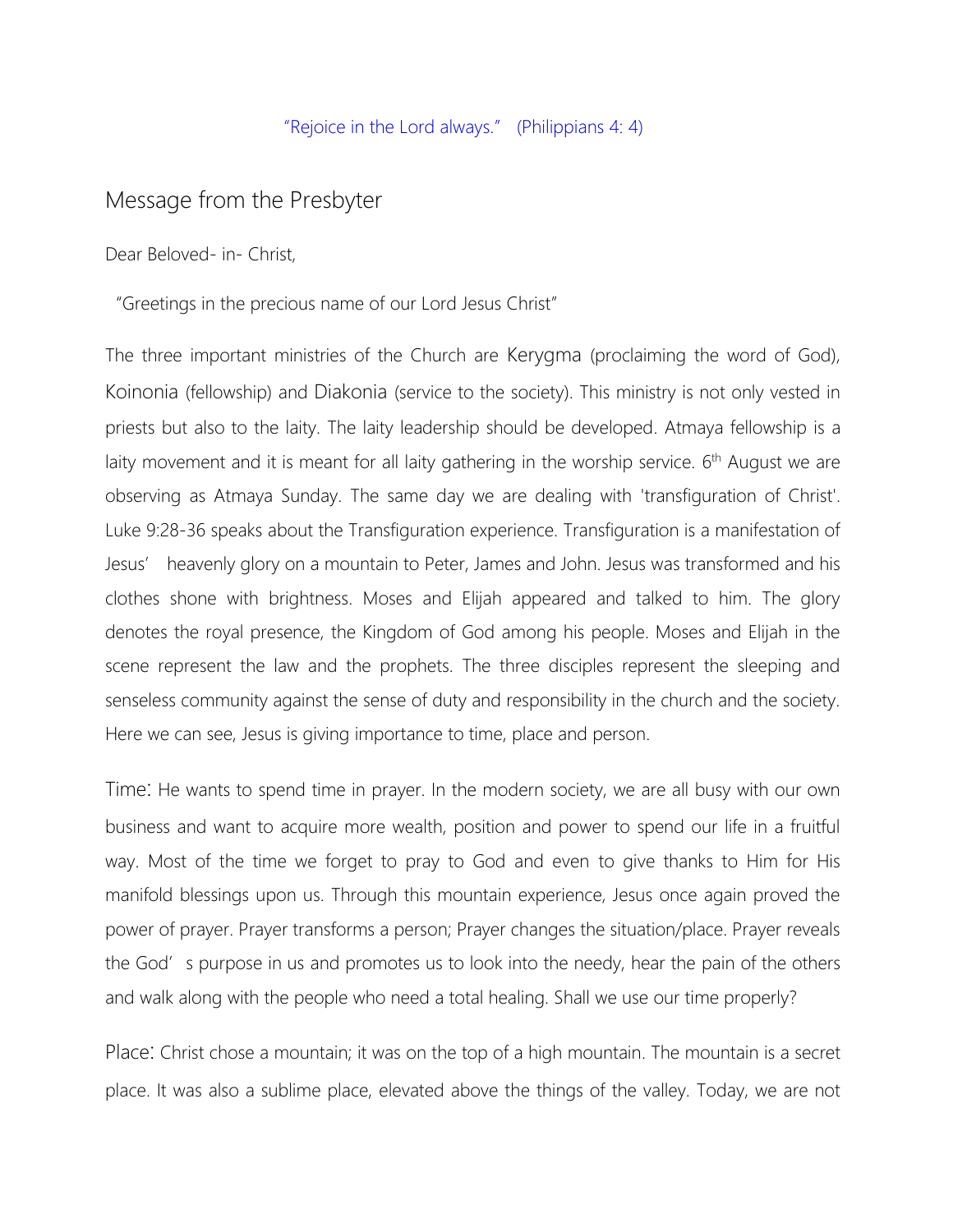#### "Rejoice in the Lord always." (Philippians 4: 4)

### Message from the Presbyter

Dear Beloved- in- Christ,

"Greetings in the precious name of our Lord Jesus Christ"

The three important ministries of the Church are Kerygma (proclaiming the word of God), Koinonia (fellowship) and Diakonia (service to the society). This ministry is not only vested in priests but also to the laity. The laity leadership should be developed. Atmaya fellowship is a laity movement and it is meant for all laity gathering in the worship service.  $6<sup>th</sup>$  August we are observing as Atmaya Sunday. The same day we are dealing with 'transfiguration of Christ'. Luke 9:28-36 speaks about the Transfiguration experience. Transfiguration is a manifestation of Jesus' heavenly glory on a mountain to Peter, James and John. Jesus was transformed and his clothes shone with brightness. Moses and Elijah appeared and talked to him. The glory denotes the royal presence, the Kingdom of God among his people. Moses and Elijah in the scene represent the law and the prophets. The three disciples represent the sleeping and senseless community against the sense of duty and responsibility in the church and the society. Here we can see, Jesus is giving importance to time, place and person.

Time: He wants to spend time in prayer. In the modern society, we are all busy with our own business and want to acquire more wealth, position and power to spend our life in a fruitful way. Most of the time we forget to pray to God and even to give thanks to Him for His manifold blessings upon us. Through this mountain experience, Jesus once again proved the power of prayer. Prayer transforms a person; Prayer changes the situation/place. Prayer reveals the God's purpose in us and promotes us to look into the needy, hear the pain of the others and walk along with the people who need a total healing. Shall we use our time properly?

Place: Christ chose a mountain; it was on the top of a high mountain. The mountain is a secret place. It was also a sublime place, elevated above the things of the valley. Today, we are not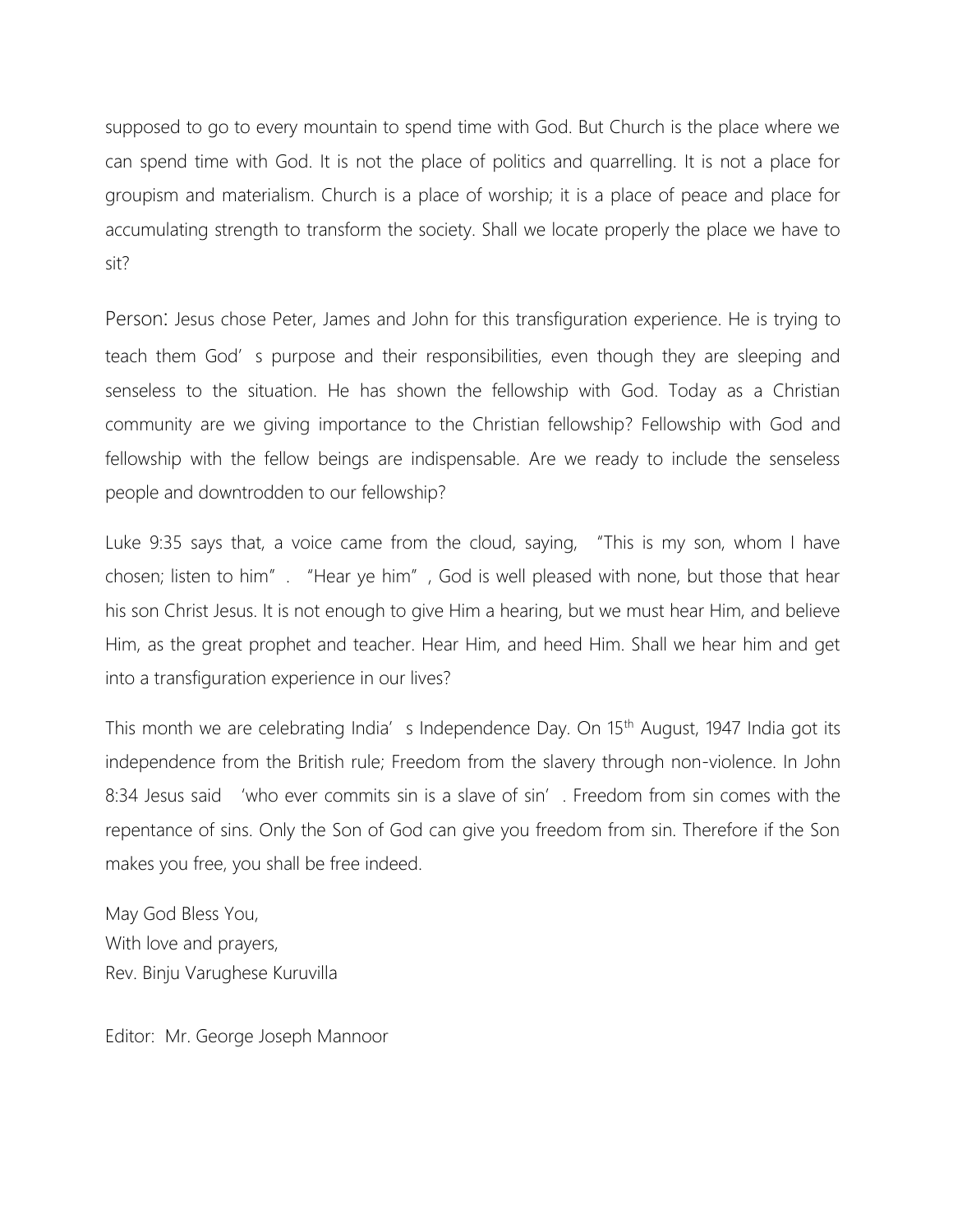supposed to go to every mountain to spend time with God. But Church is the place where we can spend time with God. It is not the place of politics and quarrelling. It is not a place for groupism and materialism. Church is a place of worship; it is a place of peace and place for accumulating strength to transform the society. Shall we locate properly the place we have to sit?

Person: Jesus chose Peter, James and John for this transfiguration experience. He is trying to teach them God's purpose and their responsibilities, even though they are sleeping and senseless to the situation. He has shown the fellowship with God. Today as a Christian community are we giving importance to the Christian fellowship? Fellowship with God and fellowship with the fellow beings are indispensable. Are we ready to include the senseless people and downtrodden to our fellowship?

Luke 9:35 says that, a voice came from the cloud, saying, "This is my son, whom I have chosen; listen to him". "Hear ye him", God is well pleased with none, but those that hear his son Christ Jesus. It is not enough to give Him a hearing, but we must hear Him, and believe Him, as the great prophet and teacher. Hear Him, and heed Him. Shall we hear him and get into a transfiguration experience in our lives?

This month we are celebrating India's Independence Day. On 15<sup>th</sup> August, 1947 India got its independence from the British rule; Freedom from the slavery through non-violence. In John 8:34 Jesus said 'who ever commits sin is a slave of sin'. Freedom from sin comes with the repentance of sins. Only the Son of God can give you freedom from sin. Therefore if the Son makes you free, you shall be free indeed.

May God Bless You, With love and prayers, Rev. Binju Varughese Kuruvilla

Editor: Mr. George Joseph Mannoor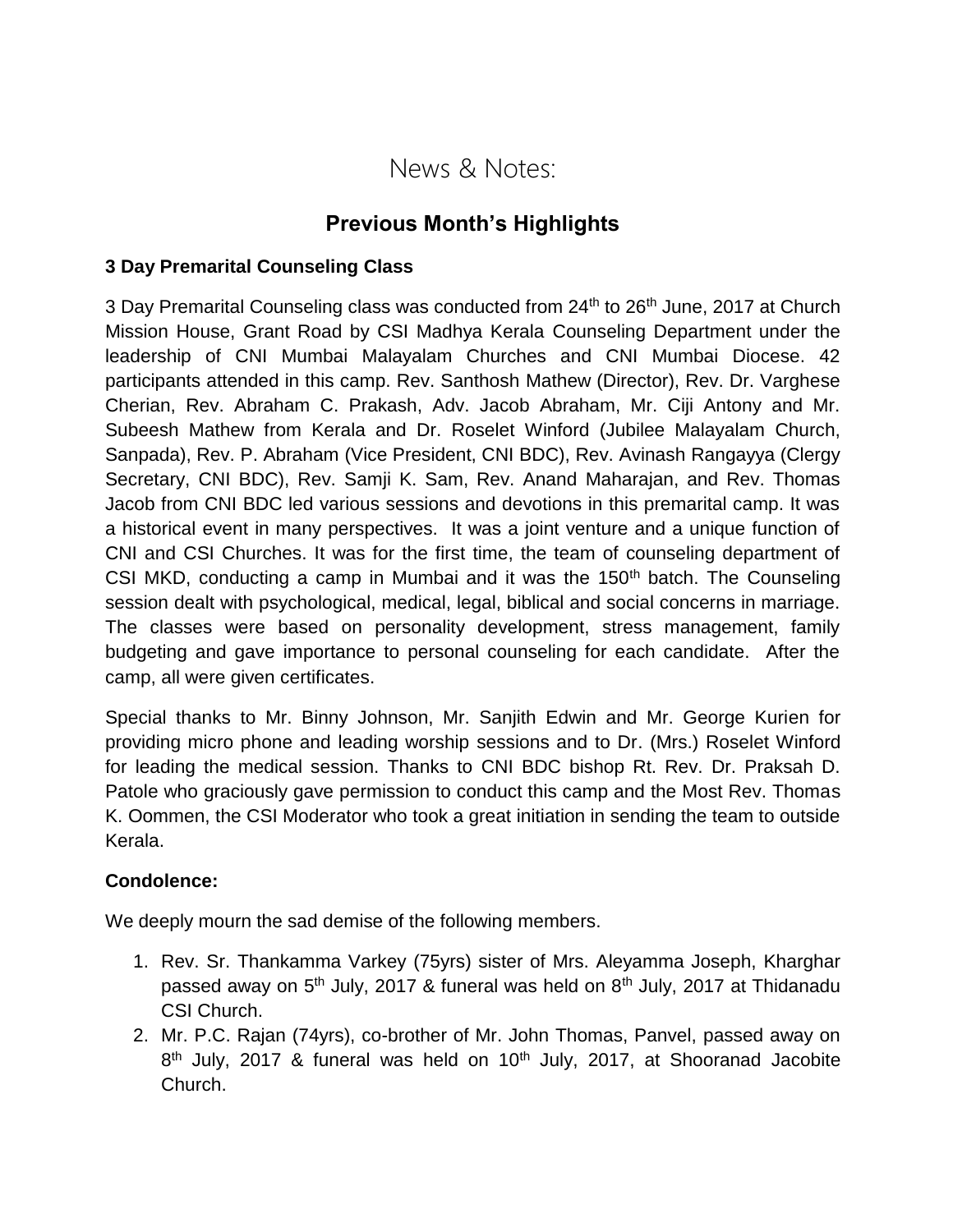## News & Notes:

## **Previous Month's Highlights**

#### **3 Day Premarital Counseling Class**

3 Day Premarital Counseling class was conducted from 24<sup>th</sup> to 26<sup>th</sup> June, 2017 at Church Mission House, Grant Road by CSI Madhya Kerala Counseling Department under the leadership of CNI Mumbai Malayalam Churches and CNI Mumbai Diocese. 42 participants attended in this camp. Rev. Santhosh Mathew (Director), Rev. Dr. Varghese Cherian, Rev. Abraham C. Prakash, Adv. Jacob Abraham, Mr. Ciji Antony and Mr. Subeesh Mathew from Kerala and Dr. Roselet Winford (Jubilee Malayalam Church, Sanpada), Rev. P. Abraham (Vice President, CNI BDC), Rev. Avinash Rangayya (Clergy Secretary, CNI BDC), Rev. Samji K. Sam, Rev. Anand Maharajan, and Rev. Thomas Jacob from CNI BDC led various sessions and devotions in this premarital camp. It was a historical event in many perspectives. It was a joint venture and a unique function of CNI and CSI Churches. It was for the first time, the team of counseling department of CSI MKD, conducting a camp in Mumbai and it was the  $150<sup>th</sup>$  batch. The Counseling session dealt with psychological, medical, legal, biblical and social concerns in marriage. The classes were based on personality development, stress management, family budgeting and gave importance to personal counseling for each candidate. After the camp, all were given certificates.

Special thanks to Mr. Binny Johnson, Mr. Sanjith Edwin and Mr. George Kurien for providing micro phone and leading worship sessions and to Dr. (Mrs.) Roselet Winford for leading the medical session. Thanks to CNI BDC bishop Rt. Rev. Dr. Praksah D. Patole who graciously gave permission to conduct this camp and the Most Rev. Thomas K. Oommen, the CSI Moderator who took a great initiation in sending the team to outside Kerala.

#### **Condolence:**

We deeply mourn the sad demise of the following members.

- 1. Rev. Sr. Thankamma Varkey (75yrs) sister of Mrs. Aleyamma Joseph, Kharghar passed away on 5<sup>th</sup> July, 2017 & funeral was held on 8<sup>th</sup> July, 2017 at Thidanadu CSI Church.
- 2. Mr. P.C. Rajan (74yrs), co-brother of Mr. John Thomas, Panvel, passed away on 8<sup>th</sup> July, 2017 & funeral was held on 10<sup>th</sup> July, 2017, at Shooranad Jacobite Church.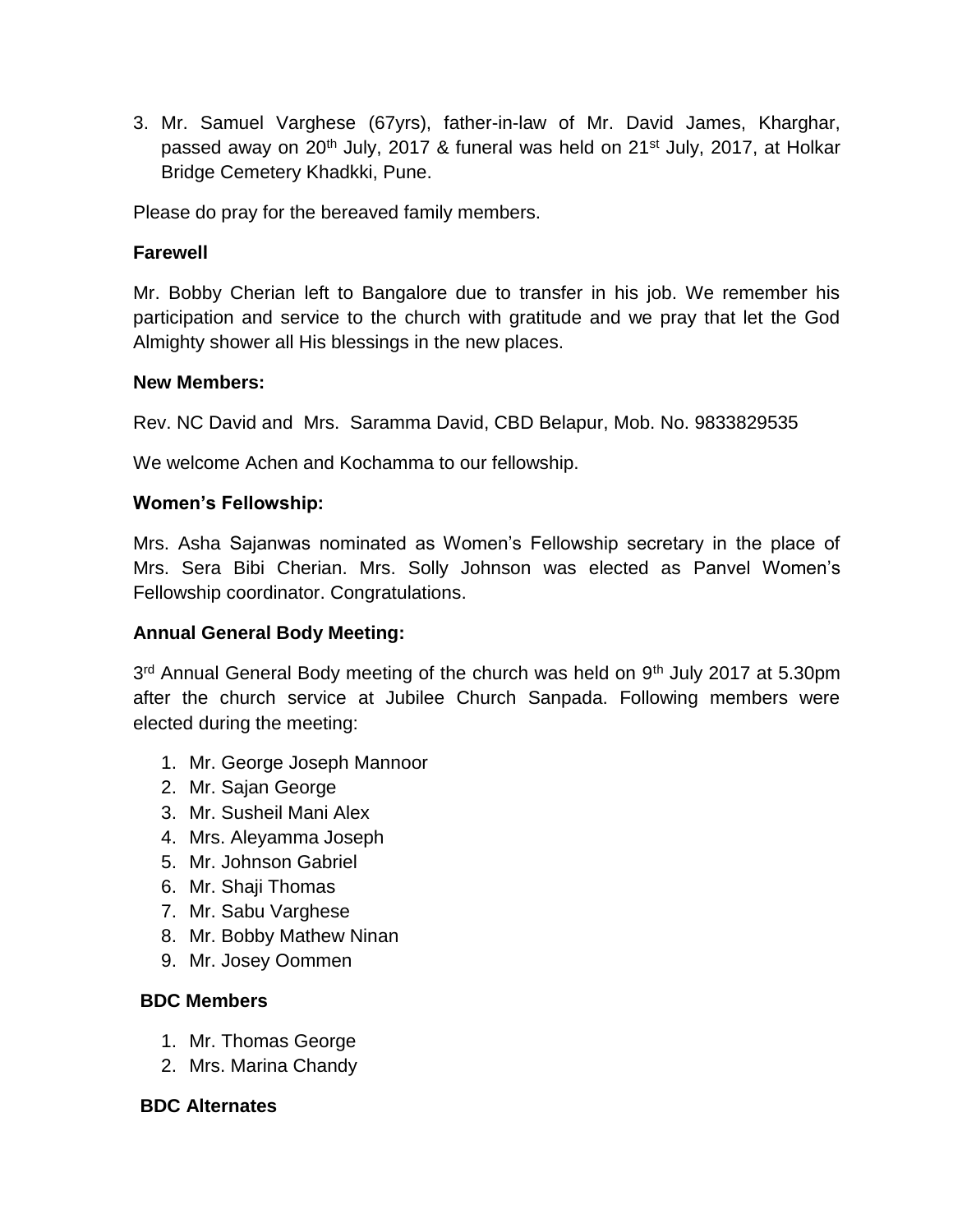3. Mr. Samuel Varghese (67yrs), father-in-law of Mr. David James, Kharghar, passed away on 20<sup>th</sup> July, 2017 & funeral was held on 21<sup>st</sup> July, 2017, at Holkar Bridge Cemetery Khadkki, Pune.

Please do pray for the bereaved family members.

#### **Farewell**

Mr. Bobby Cherian left to Bangalore due to transfer in his job. We remember his participation and service to the church with gratitude and we pray that let the God Almighty shower all His blessings in the new places.

#### **New Members:**

Rev. NC David and Mrs. Saramma David, CBD Belapur, Mob. No. 9833829535

We welcome Achen and Kochamma to our fellowship.

#### **Women's Fellowship:**

Mrs. Asha Sajanwas nominated as Women's Fellowship secretary in the place of Mrs. Sera Bibi Cherian. Mrs. Solly Johnson was elected as Panvel Women's Fellowship coordinator. Congratulations.

#### **Annual General Body Meeting:**

3<sup>rd</sup> Annual General Body meeting of the church was held on 9<sup>th</sup> July 2017 at 5.30pm after the church service at Jubilee Church Sanpada. Following members were elected during the meeting:

- 1. Mr. George Joseph Mannoor
- 2. Mr. Sajan George
- 3. Mr. Susheil Mani Alex
- 4. Mrs. Aleyamma Joseph
- 5. Mr. Johnson Gabriel
- 6. Mr. Shaji Thomas
- 7. Mr. Sabu Varghese
- 8. Mr. Bobby Mathew Ninan
- 9. Mr. Josey Oommen

#### **BDC Members**

- 1. Mr. Thomas George
- 2. Mrs. Marina Chandy

#### **BDC Alternates**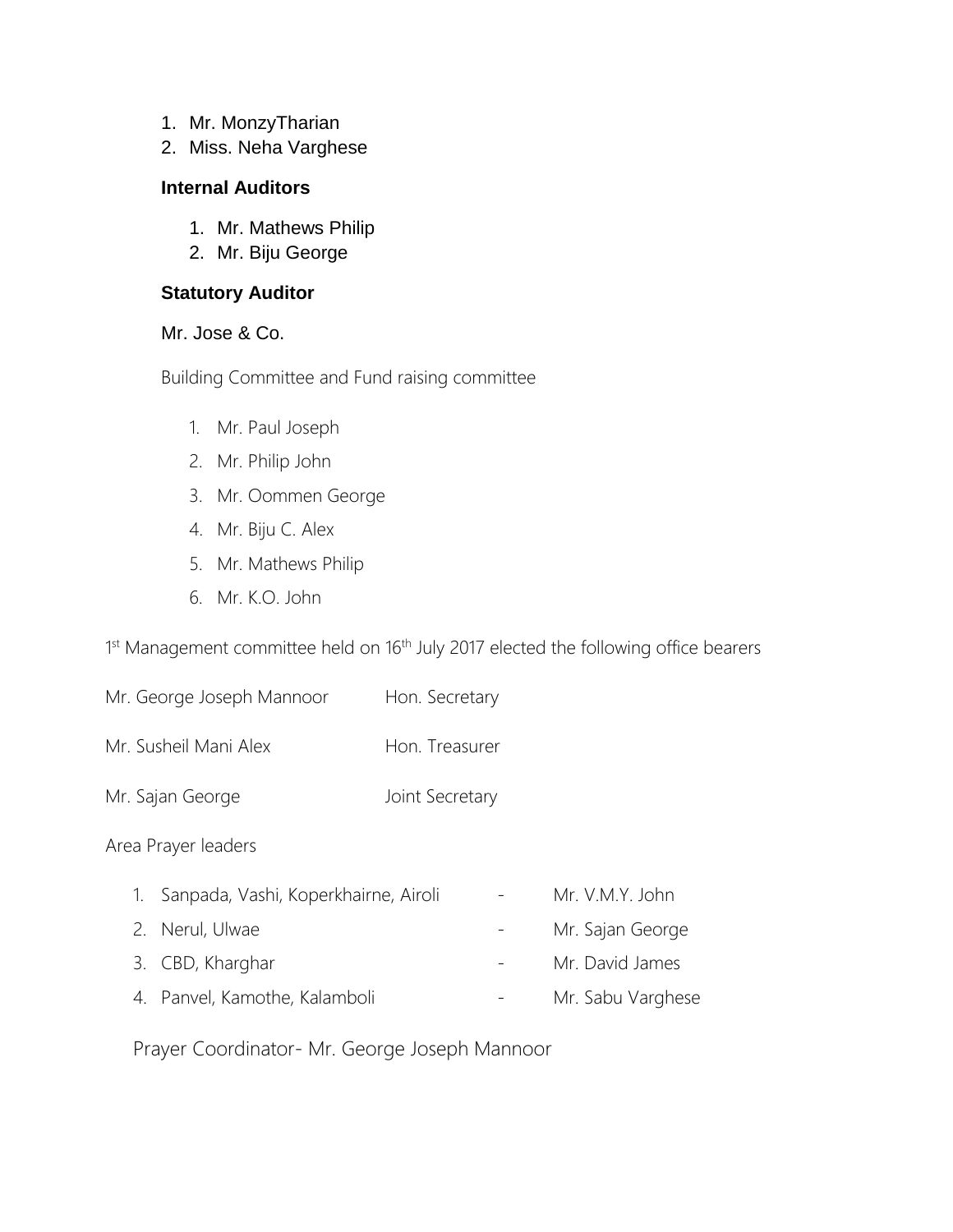- 1. Mr. MonzyTharian
- 2. Miss. Neha Varghese

#### **Internal Auditors**

- 1. Mr. Mathews Philip
- 2. Mr. Biju George

#### **Statutory Auditor**

#### Mr. Jose & Co.

Building Committee and Fund raising committee

- 1. Mr. Paul Joseph
- 2. Mr. Philip John
- 3. Mr. Oommen George
- 4. Mr. Biju C. Alex
- 5. Mr. Mathews Philip
- 6. Mr. K.O. John

1<sup>st</sup> Management committee held on 16<sup>th</sup> July 2017 elected the following office bearers

| Mr. George Joseph Mannoor | Hon. Secretary |
|---------------------------|----------------|
|---------------------------|----------------|

- Mr. Susheil Mani Alex Hon. Treasurer
- Mr. Sajan George Joint Secretary

#### Area Prayer leaders

| 1. Sanpada, Vashi, Koperkhairne, Airoli | Mr. V.M.Y. John   |
|-----------------------------------------|-------------------|
| 2. Nerul, Ulwae                         | Mr. Sajan George  |
| 3. CBD, Kharghar                        | Mr. David James   |
| 4. Panvel, Kamothe, Kalamboli           | Mr. Sabu Varghese |

Prayer Coordinator- Mr. George Joseph Mannoor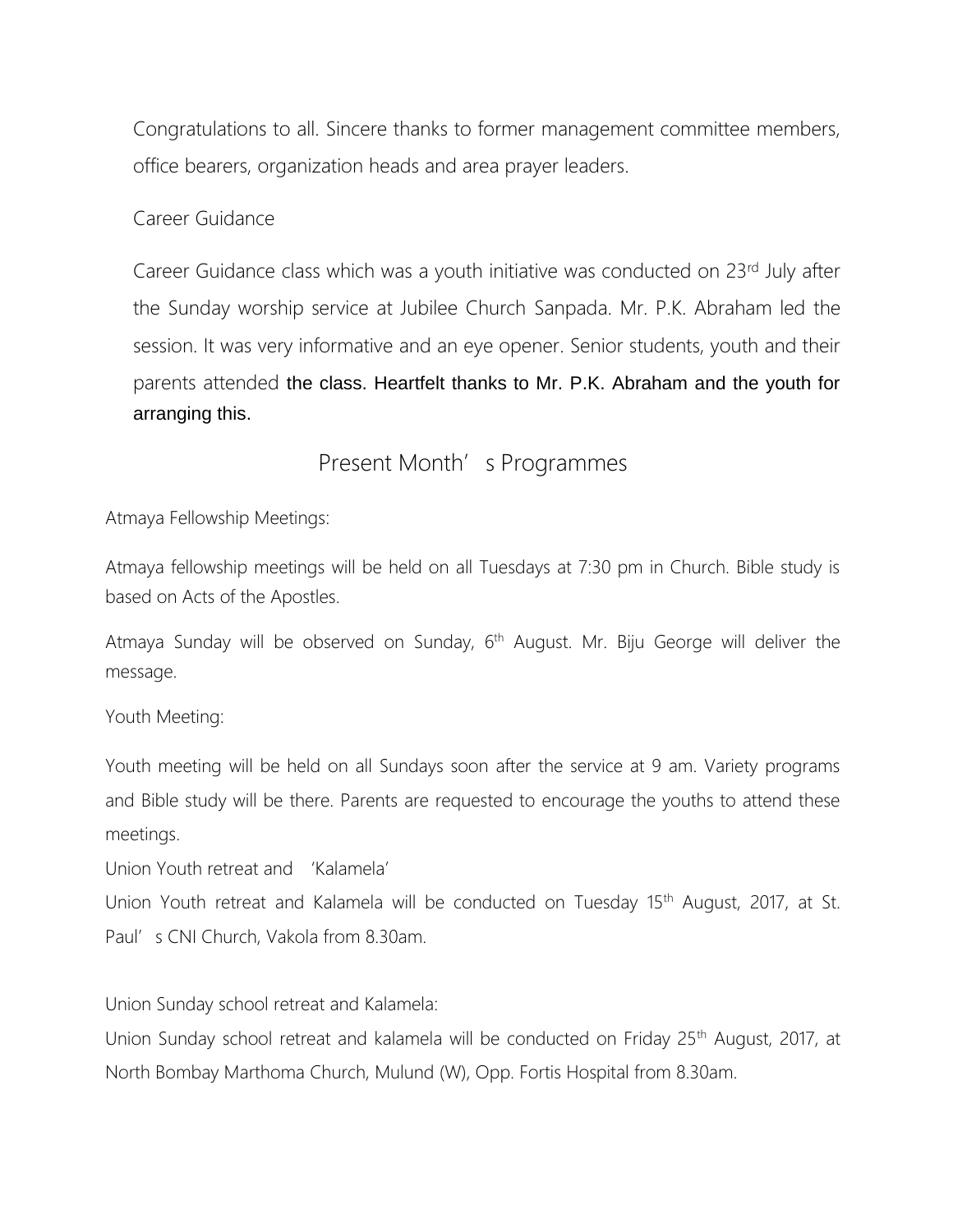Congratulations to all. Sincere thanks to former management committee members, office bearers, organization heads and area prayer leaders.

Career Guidance

Career Guidance class which was a youth initiative was conducted on 23<sup>rd</sup> July after the Sunday worship service at Jubilee Church Sanpada. Mr. P.K. Abraham led the session. It was very informative and an eye opener. Senior students, youth and their parents attended the class. Heartfelt thanks to Mr. P.K. Abraham and the youth for arranging this.

## Present Month's Programmes

Atmaya Fellowship Meetings:

Atmaya fellowship meetings will be held on all Tuesdays at 7:30 pm in Church. Bible study is based on Acts of the Apostles.

Atmaya Sunday will be observed on Sunday, 6<sup>th</sup> August. Mr. Biju George will deliver the message.

Youth Meeting:

Youth meeting will be held on all Sundays soon after the service at 9 am. Variety programs and Bible study will be there. Parents are requested to encourage the youths to attend these meetings.

Union Youth retreat and 'Kalamela'

Union Youth retreat and Kalamela will be conducted on Tuesday 15<sup>th</sup> August, 2017, at St. Paul's CNI Church, Vakola from 8.30am.

Union Sunday school retreat and Kalamela:

Union Sunday school retreat and kalamela will be conducted on Friday 25<sup>th</sup> August, 2017, at North Bombay Marthoma Church, Mulund (W), Opp. Fortis Hospital from 8.30am.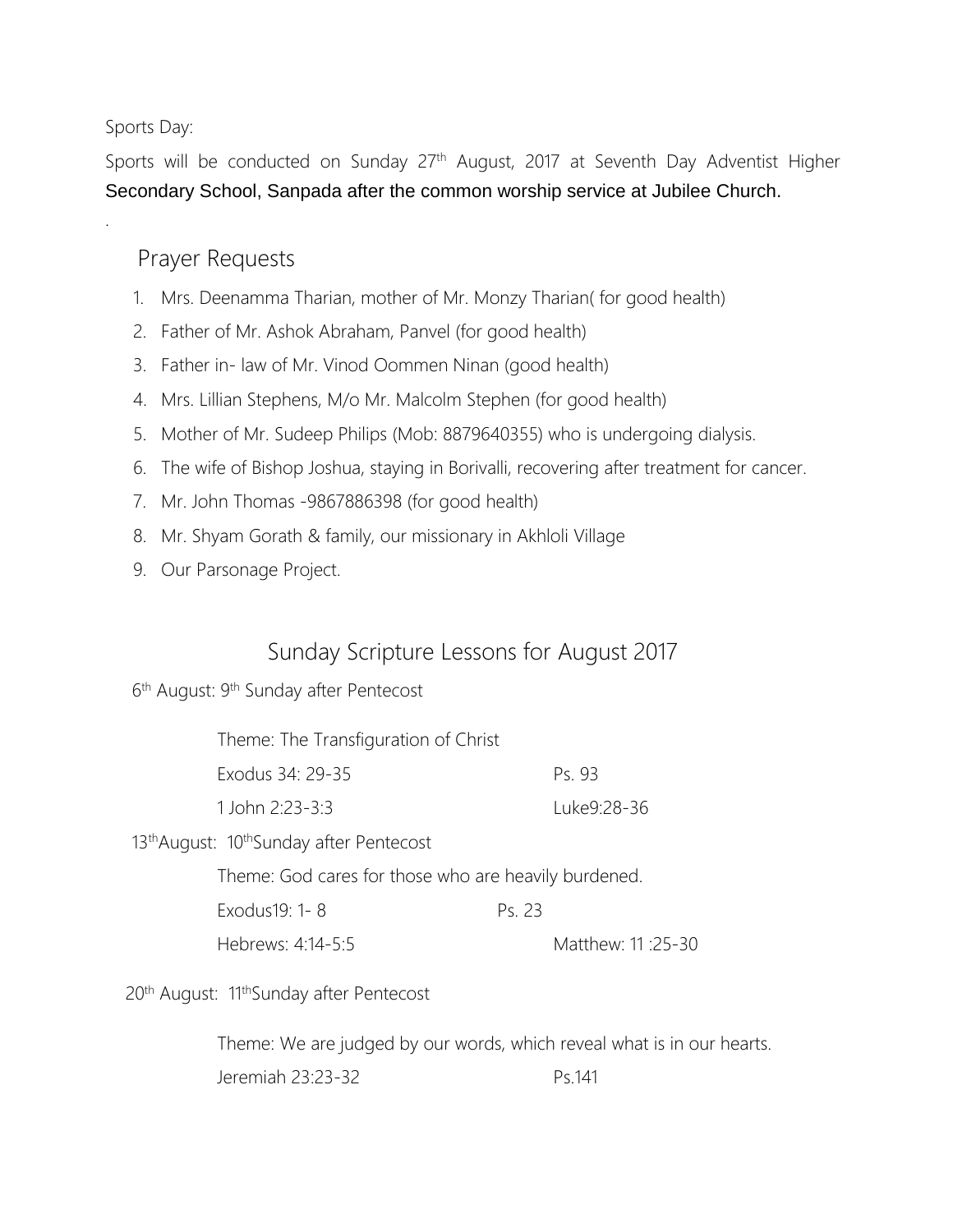Sports Day:

.

Sports will be conducted on Sunday 27<sup>th</sup> August, 2017 at Seventh Day Adventist Higher Secondary School, Sanpada after the common worship service at Jubilee Church.

## Prayer Requests

- 1. Mrs. Deenamma Tharian, mother of Mr. Monzy Tharian( for good health)
- 2. Father of Mr. Ashok Abraham, Panvel (for good health)
- 3. Father in- law of Mr. Vinod Oommen Ninan (good health)
- 4. Mrs. Lillian Stephens, M/o Mr. Malcolm Stephen (for good health)
- 5. Mother of Mr. Sudeep Philips (Mob: 8879640355) who is undergoing dialysis.
- 6. The wife of Bishop Joshua, staying in Borivalli, recovering after treatment for cancer.
- 7. Mr. John Thomas -9867886398 (for good health)
- 8. Mr. Shyam Gorath & family, our missionary in Akhloli Village
- 9. Our Parsonage Project.

## Sunday Scripture Lessons for August 2017

#### 6<sup>th</sup> August: 9<sup>th</sup> Sunday after Pentecost

| Theme: The Transfiguration of Christ                             |             |
|------------------------------------------------------------------|-------------|
| Exodus 34: 29-35                                                 | Ps. 93      |
| 1 John 2:23-3:3                                                  | Luke9:28-36 |
| 13 <sup>th</sup> August: 10 <sup>th</sup> Sunday after Pentecost |             |
| Theme: God cares for those who are heavily burdened.             |             |

Exodus19: 1-8 Ps. 23

Hebrews: 4:14-5:5 Matthew: 11 :25-30

20<sup>th</sup> August: 11<sup>th</sup>Sunday after Pentecost

Theme: We are judged by our words, which reveal what is in our hearts. Jeremiah 23:23-32 Ps.141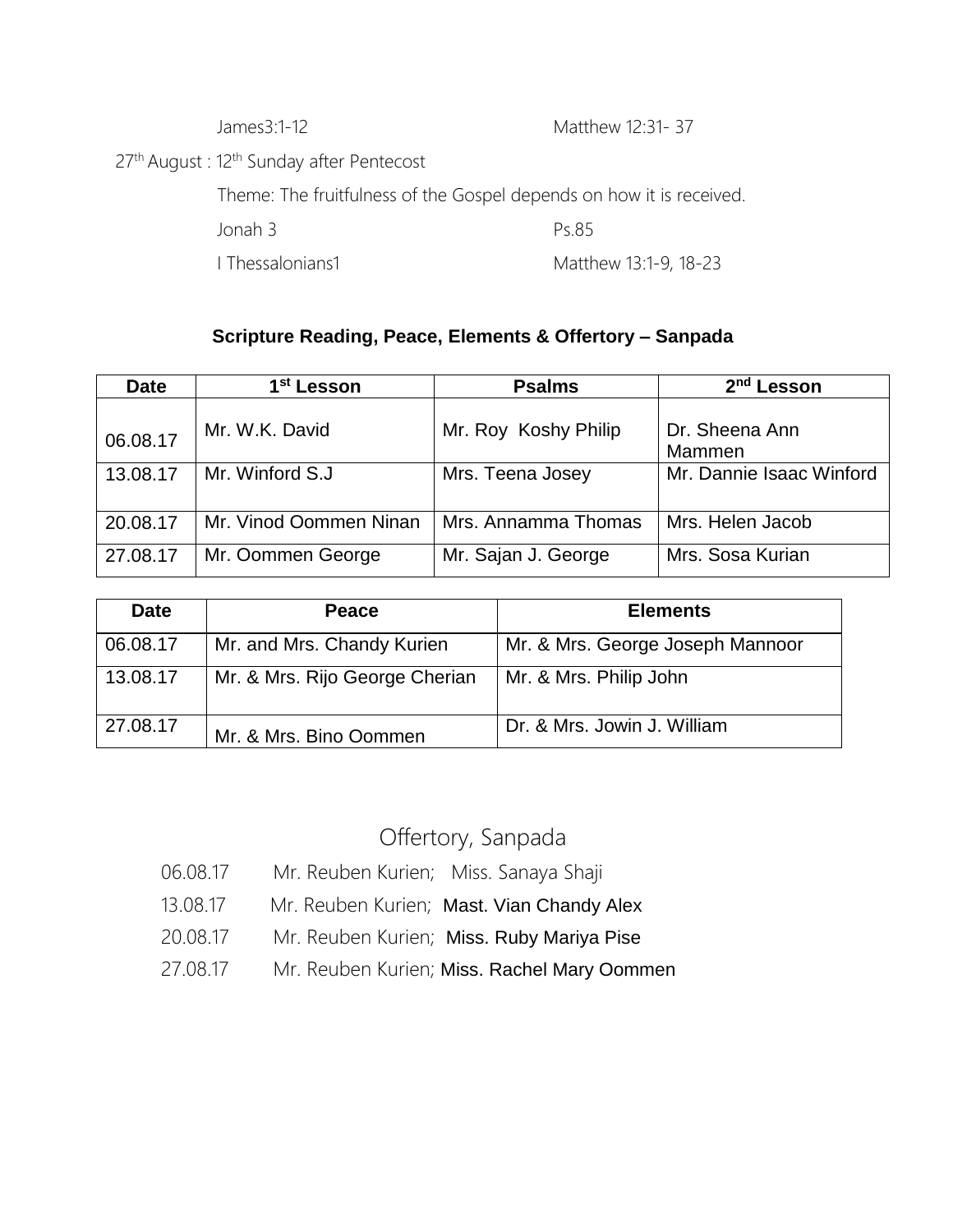James3:1-12 Matthew 12:31- 37

27<sup>th</sup> August : 12<sup>th</sup> Sunday after Pentecost

Theme: The fruitfulness of the Gospel depends on how it is received.

Jonah 3 Ps.85

I Thessalonians1 Matthew 13:1-9, 18-23

## **Scripture Reading, Peace, Elements & Offertory – Sanpada**

| <b>Date</b> | 1 <sup>st</sup> Lesson | <b>Psalms</b>        | 2 <sup>nd</sup> Lesson   |
|-------------|------------------------|----------------------|--------------------------|
| 06.08.17    | Mr. W.K. David         | Mr. Roy Koshy Philip | Dr. Sheena Ann<br>Mammen |
| 13.08.17    | Mr. Winford S.J.       | Mrs. Teena Josey     | Mr. Dannie Isaac Winford |
| 20.08.17    | Mr. Vinod Oommen Ninan | Mrs. Annamma Thomas  | Mrs. Helen Jacob         |
| 27.08.17    | Mr. Oommen George      | Mr. Sajan J. George  | Mrs. Sosa Kurian         |

| <b>Date</b> | Peace                          | <b>Elements</b>                  |
|-------------|--------------------------------|----------------------------------|
| 06.08.17    | Mr. and Mrs. Chandy Kurien     | Mr. & Mrs. George Joseph Mannoor |
| 13.08.17    | Mr. & Mrs. Rijo George Cherian | Mr. & Mrs. Philip John           |
| 27.08.17    | Mr. & Mrs. Bino Oommen         | Dr. & Mrs. Jowin J. William      |

## Offertory, Sanpada

- 06.08.17 Mr. Reuben Kurien; Miss. Sanaya Shaji
- 13.08.17 Mr. Reuben Kurien; Mast. Vian Chandy Alex
- 20.08.17 Mr. Reuben Kurien; Miss. Ruby Mariya Pise
- 27.08.17 Mr. Reuben Kurien; Miss. Rachel Mary Oommen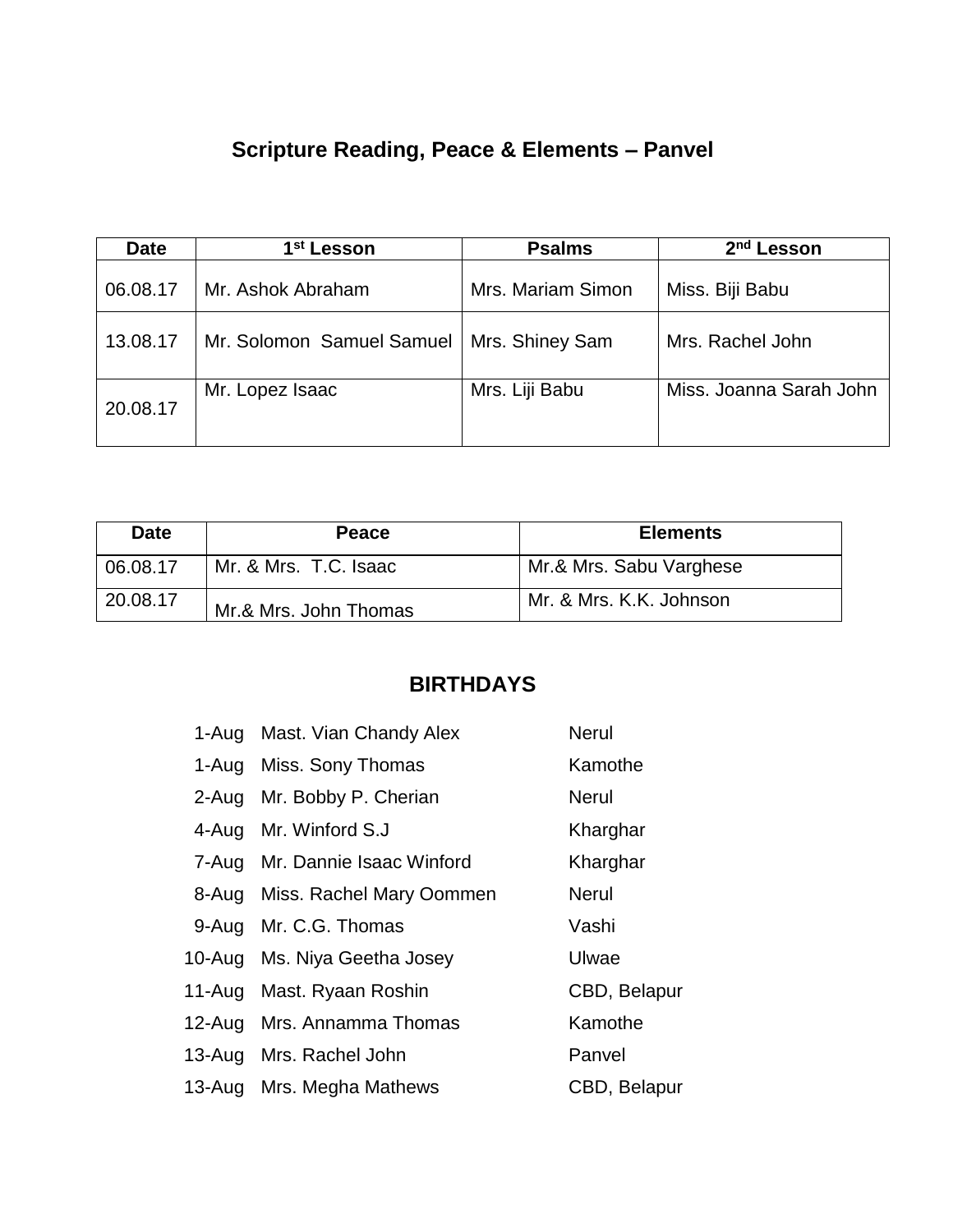# **Scripture Reading, Peace & Elements – Panvel**

| <b>Date</b> | 1 <sup>st</sup> Lesson    | <b>Psalms</b>     | 2 <sup>nd</sup> Lesson  |
|-------------|---------------------------|-------------------|-------------------------|
| 06.08.17    | Mr. Ashok Abraham         | Mrs. Mariam Simon | Miss. Biji Babu         |
| 13.08.17    | Mr. Solomon Samuel Samuel | Mrs. Shiney Sam   | Mrs. Rachel John        |
| 20.08.17    | Mr. Lopez Isaac           | Mrs. Liji Babu    | Miss. Joanna Sarah John |

| <b>Date</b> | Peace                 | <b>Elements</b>         |
|-------------|-----------------------|-------------------------|
| 06.08.17    | Mr. & Mrs. T.C. Isaac | Mr.& Mrs. Sabu Varghese |
| 20.08.17    | Mr.& Mrs. John Thomas | Mr. & Mrs. K.K. Johnson |

## **BIRTHDAYS**

| 1-Aug Mast. Vian Chandy Alex      | <b>Nerul</b> |  |
|-----------------------------------|--------------|--|
| 1-Aug Miss. Sony Thomas           | Kamothe      |  |
| 2-Aug Mr. Bobby P. Cherian        | <b>Nerul</b> |  |
| 4-Aug Mr. Winford S.J             | Kharghar     |  |
| 7-Aug Mr. Dannie Isaac Winford    | Kharghar     |  |
| 8-Aug Miss. Rachel Mary Oommen    | <b>Nerul</b> |  |
| 9-Aug Mr. C.G. Thomas             | Vashi        |  |
| 10-Aug Ms. Niya Geetha Josey      | Ulwae        |  |
| 11-Aug Mast. Ryaan Roshin         | CBD, Belapur |  |
| 12-Aug Mrs. Annamma Thomas        | Kamothe      |  |
| Panvel<br>13-Aug Mrs. Rachel John |              |  |
| 13-Aug Mrs. Megha Mathews         | CBD, Belapur |  |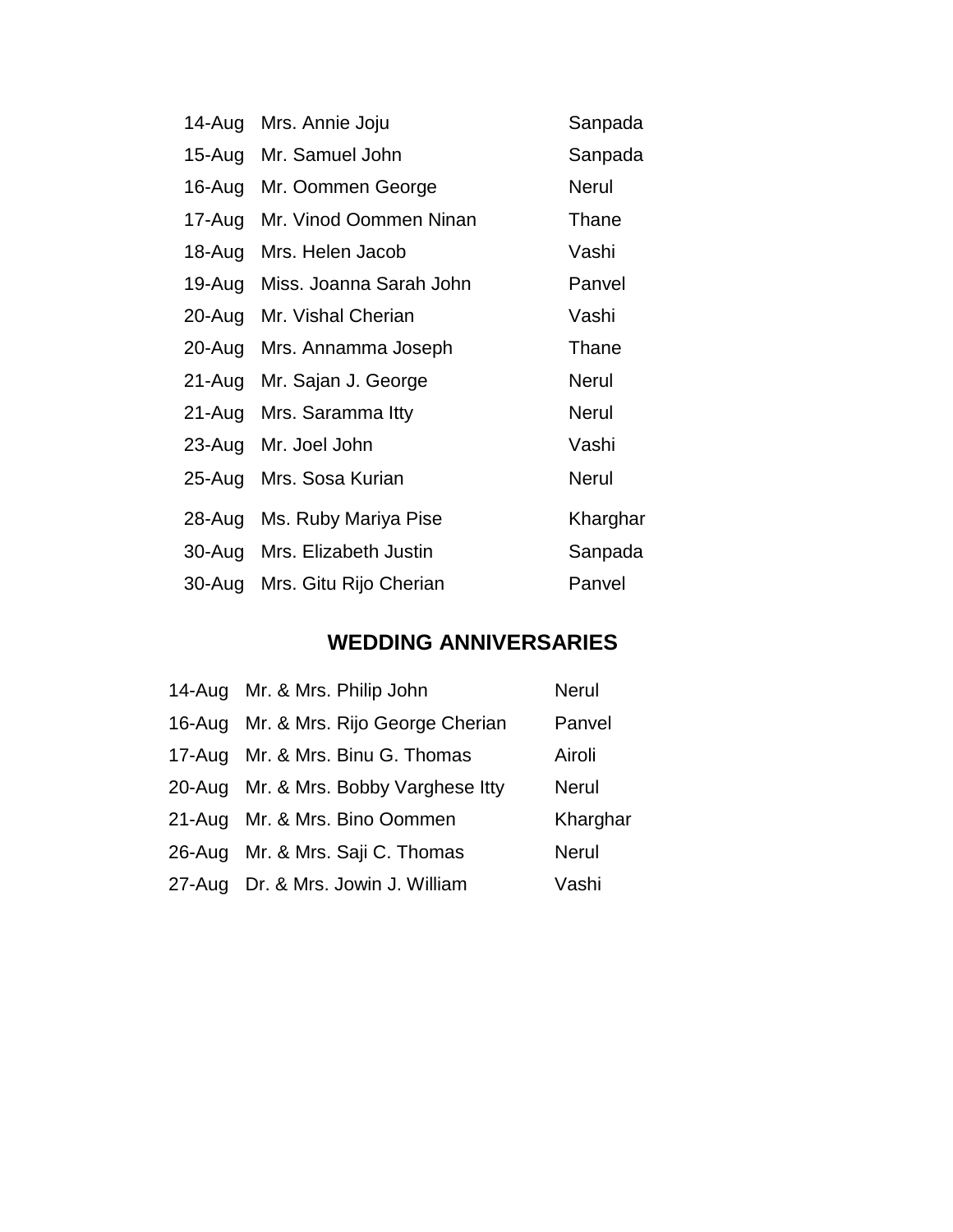| 14-Aug     | Mrs. Annie Joju<br>Sanpada |              |  |
|------------|----------------------------|--------------|--|
| 15-Aug     | Mr. Samuel John            | Sanpada      |  |
| 16-Aug     | Mr. Oommen George          | <b>Nerul</b> |  |
| 17-Aug     | Mr. Vinod Oommen Ninan     | Thane        |  |
| 18-Aug     | Mrs. Helen Jacob           | Vashi        |  |
| 19-Aug     | Miss. Joanna Sarah John    | Panvel       |  |
| 20-Aug     | Mr. Vishal Cherian         | Vashi        |  |
| 20-Aug     | Mrs. Annamma Joseph        | Thane        |  |
| $21 - Aug$ | Mr. Sajan J. George        | <b>Nerul</b> |  |
| 21-Aug     | Mrs. Saramma Itty          | <b>Nerul</b> |  |
| 23-Aug     | Mr. Joel John              | Vashi        |  |
| $25 - Aug$ | Mrs. Sosa Kurian           | <b>Nerul</b> |  |
| 28-Aug     | Ms. Ruby Mariya Pise       | Kharghar     |  |
| $30 - Aug$ | Mrs. Elizabeth Justin      | Sanpada      |  |
| $30 - Aug$ | Mrs. Gitu Rijo Cherian     | Panvel       |  |

## **WEDDING ANNIVERSARIES**

| 14-Aug Mr. & Mrs. Philip John         | <b>Nerul</b> |
|---------------------------------------|--------------|
| 16-Aug Mr. & Mrs. Rijo George Cherian | Panvel       |
| 17-Aug Mr. & Mrs. Binu G. Thomas      | Airoli       |
| 20-Aug Mr. & Mrs. Bobby Varghese Itty | <b>Nerul</b> |
| 21-Aug Mr. & Mrs. Bino Oommen         | Kharghar     |
| 26-Aug Mr. & Mrs. Saji C. Thomas      | <b>Nerul</b> |
| 27-Aug Dr. & Mrs. Jowin J. William    | Vashi        |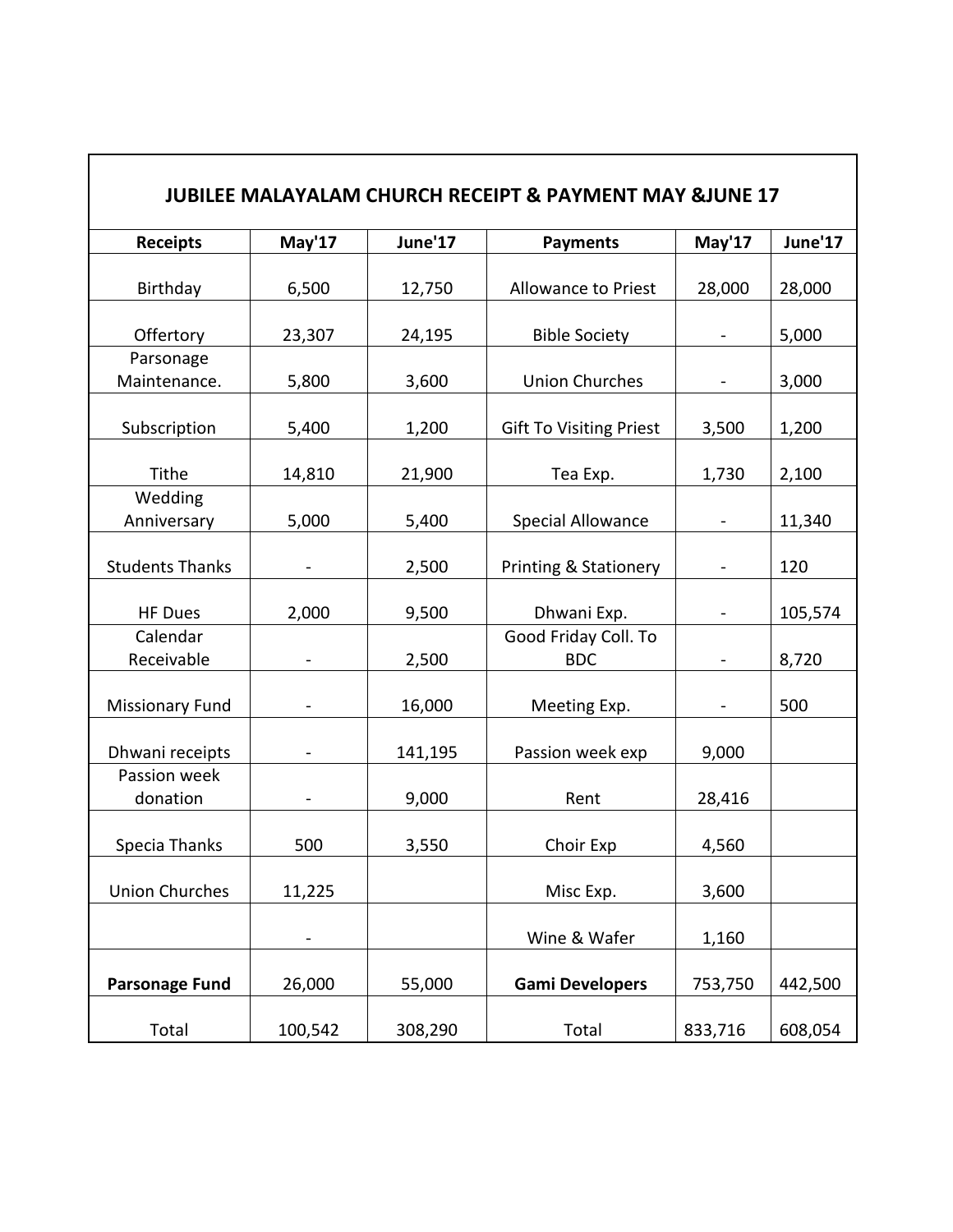| <b>JUBILEE MALAYALAM CHURCH RECEIPT &amp; PAYMENT MAY &amp;JUNE 17</b> |         |         |                                    |         |         |
|------------------------------------------------------------------------|---------|---------|------------------------------------|---------|---------|
| <b>Receipts</b>                                                        | May'17  | June'17 | <b>Payments</b>                    | May'17  | June'17 |
| Birthday                                                               | 6,500   | 12,750  | Allowance to Priest                | 28,000  | 28,000  |
| Offertory                                                              | 23,307  | 24,195  | <b>Bible Society</b>               |         | 5,000   |
| Parsonage<br>Maintenance.                                              | 5,800   | 3,600   | <b>Union Churches</b>              |         | 3,000   |
| Subscription                                                           | 5,400   | 1,200   | <b>Gift To Visiting Priest</b>     | 3,500   | 1,200   |
| Tithe                                                                  | 14,810  | 21,900  | Tea Exp.                           | 1,730   | 2,100   |
| Wedding<br>Anniversary                                                 | 5,000   | 5,400   | <b>Special Allowance</b>           |         | 11,340  |
| <b>Students Thanks</b>                                                 |         | 2,500   | <b>Printing &amp; Stationery</b>   |         | 120     |
| <b>HF Dues</b>                                                         | 2,000   | 9,500   | Dhwani Exp.                        |         | 105,574 |
| Calendar<br>Receivable                                                 |         | 2,500   | Good Friday Coll. To<br><b>BDC</b> |         | 8,720   |
| <b>Missionary Fund</b>                                                 |         | 16,000  | Meeting Exp.                       |         | 500     |
| Dhwani receipts                                                        |         | 141,195 | Passion week exp                   | 9,000   |         |
| Passion week<br>donation                                               |         | 9,000   | Rent                               | 28,416  |         |
| Specia Thanks                                                          | 500     | 3,550   | Choir Exp                          | 4,560   |         |
| <b>Union Churches</b>                                                  | 11,225  |         | Misc Exp.                          | 3,600   |         |
|                                                                        |         |         | Wine & Wafer                       | 1,160   |         |
| <b>Parsonage Fund</b>                                                  | 26,000  | 55,000  | <b>Gami Developers</b>             | 753,750 | 442,500 |
| Total                                                                  | 100,542 | 308,290 | Total                              | 833,716 | 608,054 |

 $\overline{\phantom{a}}$